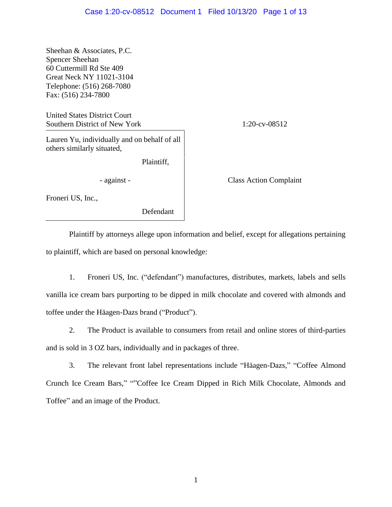Sheehan & Associates, P.C. Spencer Sheehan 60 Cuttermill Rd Ste 409 Great Neck NY 11021-3104 Telephone: (516) 268-7080 Fax: (516) 234-7800

United States District Court Southern District of New York 1:20-cv-08512

Lauren Yu, individually and on behalf of all others similarly situated,

Plaintiff,

Froneri US, Inc.,

Defendant

- against - Class Action Complaint

Plaintiff by attorneys allege upon information and belief, except for allegations pertaining to plaintiff, which are based on personal knowledge:

1. Froneri US, Inc. ("defendant") manufactures, distributes, markets, labels and sells vanilla ice cream bars purporting to be dipped in milk chocolate and covered with almonds and toffee under the Häagen-Dazs brand ("Product").

2. The Product is available to consumers from retail and online stores of third-parties and is sold in 3 OZ bars, individually and in packages of three.

3. The relevant front label representations include "Häagen-Dazs," "Coffee Almond Crunch Ice Cream Bars," ""Coffee Ice Cream Dipped in Rich Milk Chocolate, Almonds and Toffee" and an image of the Product.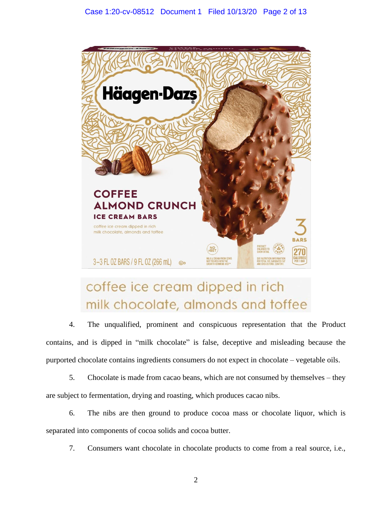

# coffee ice cream dipped in rich milk chocolate, almonds and toffee

4. The unqualified, prominent and conspicuous representation that the Product contains, and is dipped in "milk chocolate" is false, deceptive and misleading because the purported chocolate contains ingredients consumers do not expect in chocolate – vegetable oils.

5. Chocolate is made from cacao beans, which are not consumed by themselves – they are subject to fermentation, drying and roasting, which produces cacao nibs.

6. The nibs are then ground to produce cocoa mass or chocolate liquor, which is separated into components of cocoa solids and cocoa butter.

7. Consumers want chocolate in chocolate products to come from a real source, i.e.,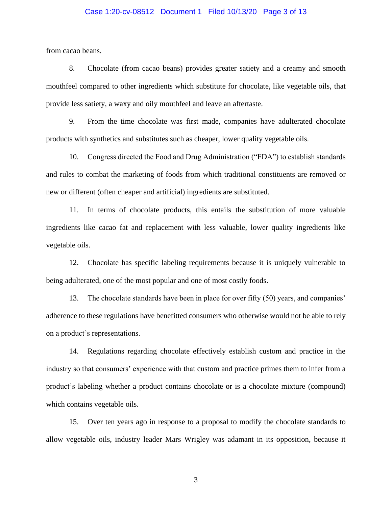## Case 1:20-cv-08512 Document 1 Filed 10/13/20 Page 3 of 13

from cacao beans.

8. Chocolate (from cacao beans) provides greater satiety and a creamy and smooth mouthfeel compared to other ingredients which substitute for chocolate, like vegetable oils, that provide less satiety, a waxy and oily mouthfeel and leave an aftertaste.

9. From the time chocolate was first made, companies have adulterated chocolate products with synthetics and substitutes such as cheaper, lower quality vegetable oils.

10. Congress directed the Food and Drug Administration ("FDA") to establish standards and rules to combat the marketing of foods from which traditional constituents are removed or new or different (often cheaper and artificial) ingredients are substituted.

11. In terms of chocolate products, this entails the substitution of more valuable ingredients like cacao fat and replacement with less valuable, lower quality ingredients like vegetable oils.

12. Chocolate has specific labeling requirements because it is uniquely vulnerable to being adulterated, one of the most popular and one of most costly foods.

13. The chocolate standards have been in place for over fifty (50) years, and companies' adherence to these regulations have benefitted consumers who otherwise would not be able to rely on a product's representations.

14. Regulations regarding chocolate effectively establish custom and practice in the industry so that consumers' experience with that custom and practice primes them to infer from a product's labeling whether a product contains chocolate or is a chocolate mixture (compound) which contains vegetable oils.

15. Over ten years ago in response to a proposal to modify the chocolate standards to allow vegetable oils, industry leader Mars Wrigley was adamant in its opposition, because it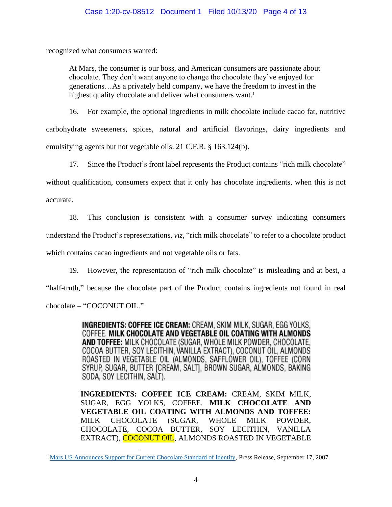## Case 1:20-cv-08512 Document 1 Filed 10/13/20 Page 4 of 13

recognized what consumers wanted:

At Mars, the consumer is our boss, and American consumers are passionate about chocolate. They don't want anyone to change the chocolate they've enjoyed for generations…As a privately held company, we have the freedom to invest in the highest quality chocolate and deliver what consumers want.<sup>1</sup>

16. For example, the optional ingredients in milk chocolate include cacao fat, nutritive carbohydrate sweeteners, spices, natural and artificial flavorings, dairy ingredients and emulsifying agents but not vegetable oils. 21 C.F.R. § 163.124(b).

17. Since the Product's front label represents the Product contains "rich milk chocolate"

without qualification, consumers expect that it only has chocolate ingredients, when this is not

accurate.

18. This conclusion is consistent with a consumer survey indicating consumers

understand the Product's representations, *viz*, "rich milk chocolate" to refer to a chocolate product

which contains cacao ingredients and not vegetable oils or fats.

19. However, the representation of "rich milk chocolate" is misleading and at best, a

"half-truth," because the chocolate part of the Product contains ingredients not found in real

chocolate – "COCONUT OIL."

**INGREDIENTS: COFFEE ICE CREAM:** CREAM. SKIM MILK. SUGAR. EGG YOLKS. COFFEE. MILK CHOCOLATE AND VEGETABLE OIL COATING WITH ALMONDS AND TOFFEE: MILK CHOCOLATE (SUGAR, WHOLE MILK POWDER, CHOCOLATE, COCOA BUTTER, SOY LECITHIN, VANILLA EXTRACT), COCONUT OIL, ALMONDS ROASTED IN VEGETABLE OIL (ALMONDS, SAFFLOWER OIL), TOFFEE (CORN SYRUP, SUGAR, BUTTER [CREAM, SALT], BROWN SUGAR, ALMONDS, BAKING SODA, SOY LECITHIN, SALT).

**INGREDIENTS: COFFEE ICE CREAM:** CREAM, SKIM MILK, SUGAR, EGG YOLKS, COFFEE. **MILK CHOCOLATE AND VEGETABLE OIL COATING WITH ALMONDS AND TOFFEE:** MILK CHOCOLATE (SUGAR, WHOLE MILK POWDER, CHOCOLATE, COCOA BUTTER, SOY LECITHIN, VANILLA EXTRACT), COCONUT OIL, ALMONDS ROASTED IN VEGETABLE

<sup>&</sup>lt;sup>1</sup> [Mars US Announces Support for Current Chocolate Standard of Identity,](https://www.businesswire.com/news/home/20070917005862/en/Mars-Announces-Support-Current-Chocolate-Standard-Identity) Press Release, September 17, 2007.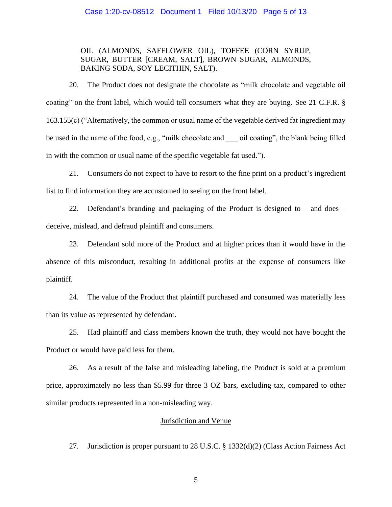#### Case 1:20-cv-08512 Document 1 Filed 10/13/20 Page 5 of 13

# OIL (ALMONDS, SAFFLOWER OIL), TOFFEE (CORN SYRUP, SUGAR, BUTTER [CREAM, SALT], BROWN SUGAR, ALMONDS, BAKING SODA, SOY LECITHIN, SALT).

20. The Product does not designate the chocolate as "milk chocolate and vegetable oil coating" on the front label, which would tell consumers what they are buying. See 21 C.F.R. § 163.155(c) ("Alternatively, the common or usual name of the vegetable derived fat ingredient may be used in the name of the food, e.g., "milk chocolate and \_\_\_ oil coating", the blank being filled in with the common or usual name of the specific vegetable fat used.").

21. Consumers do not expect to have to resort to the fine print on a product's ingredient list to find information they are accustomed to seeing on the front label.

22. Defendant's branding and packaging of the Product is designed to – and does – deceive, mislead, and defraud plaintiff and consumers.

23. Defendant sold more of the Product and at higher prices than it would have in the absence of this misconduct, resulting in additional profits at the expense of consumers like plaintiff.

24. The value of the Product that plaintiff purchased and consumed was materially less than its value as represented by defendant.

25. Had plaintiff and class members known the truth, they would not have bought the Product or would have paid less for them.

26. As a result of the false and misleading labeling, the Product is sold at a premium price, approximately no less than \$5.99 for three 3 OZ bars, excluding tax, compared to other similar products represented in a non-misleading way.

## Jurisdiction and Venue

27. Jurisdiction is proper pursuant to 28 U.S.C. § 1332(d)(2) (Class Action Fairness Act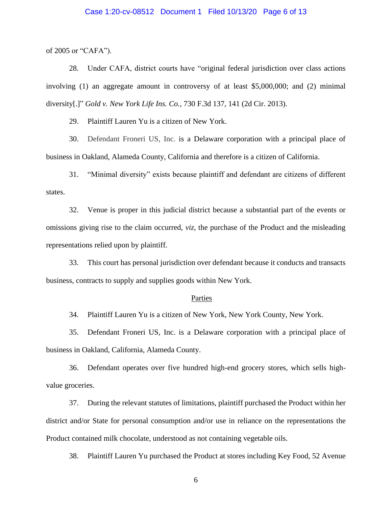#### Case 1:20-cv-08512 Document 1 Filed 10/13/20 Page 6 of 13

of 2005 or "CAFA").

28. Under CAFA, district courts have "original federal jurisdiction over class actions involving (1) an aggregate amount in controversy of at least \$5,000,000; and (2) minimal diversity[.]" *Gold v. New York Life Ins. Co.*, 730 F.3d 137, 141 (2d Cir. 2013).

29. Plaintiff Lauren Yu is a citizen of New York.

30. Defendant Froneri US, Inc. is a Delaware corporation with a principal place of business in Oakland, Alameda County, California and therefore is a citizen of California.

31. "Minimal diversity" exists because plaintiff and defendant are citizens of different states.

32. Venue is proper in this judicial district because a substantial part of the events or omissions giving rise to the claim occurred, *viz*, the purchase of the Product and the misleading representations relied upon by plaintiff.

33. This court has personal jurisdiction over defendant because it conducts and transacts business, contracts to supply and supplies goods within New York.

#### Parties

34. Plaintiff Lauren Yu is a citizen of New York, New York County, New York.

35. Defendant Froneri US, Inc. is a Delaware corporation with a principal place of business in Oakland, California, Alameda County.

36. Defendant operates over five hundred high-end grocery stores, which sells highvalue groceries.

37. During the relevant statutes of limitations, plaintiff purchased the Product within her district and/or State for personal consumption and/or use in reliance on the representations the Product contained milk chocolate, understood as not containing vegetable oils.

38. Plaintiff Lauren Yu purchased the Product at stores including Key Food, 52 Avenue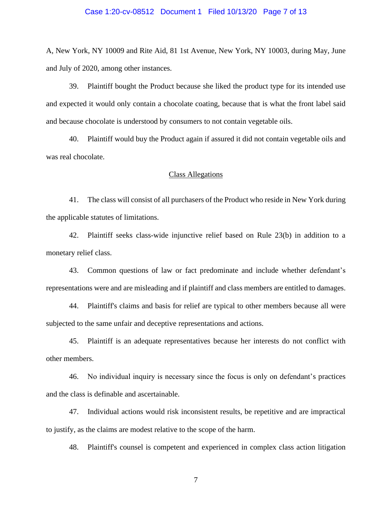#### Case 1:20-cv-08512 Document 1 Filed 10/13/20 Page 7 of 13

A, New York, NY 10009 and Rite Aid, 81 1st Avenue, New York, NY 10003, during May, June and July of 2020, among other instances.

39. Plaintiff bought the Product because she liked the product type for its intended use and expected it would only contain a chocolate coating, because that is what the front label said and because chocolate is understood by consumers to not contain vegetable oils.

40. Plaintiff would buy the Product again if assured it did not contain vegetable oils and was real chocolate.

## Class Allegations

41. The class will consist of all purchasers of the Product who reside in New York during the applicable statutes of limitations.

42. Plaintiff seeks class-wide injunctive relief based on Rule 23(b) in addition to a monetary relief class.

43. Common questions of law or fact predominate and include whether defendant's representations were and are misleading and if plaintiff and class members are entitled to damages.

44. Plaintiff's claims and basis for relief are typical to other members because all were subjected to the same unfair and deceptive representations and actions.

45. Plaintiff is an adequate representatives because her interests do not conflict with other members.

46. No individual inquiry is necessary since the focus is only on defendant's practices and the class is definable and ascertainable.

47. Individual actions would risk inconsistent results, be repetitive and are impractical to justify, as the claims are modest relative to the scope of the harm.

48. Plaintiff's counsel is competent and experienced in complex class action litigation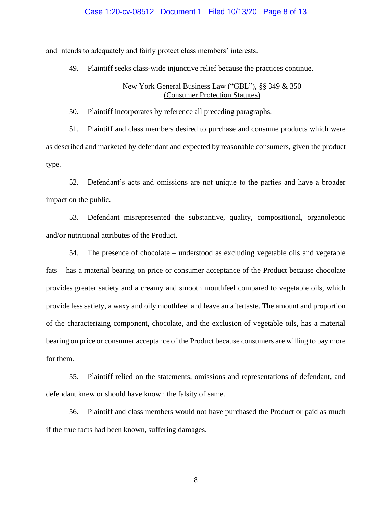#### Case 1:20-cv-08512 Document 1 Filed 10/13/20 Page 8 of 13

and intends to adequately and fairly protect class members' interests.

49. Plaintiff seeks class-wide injunctive relief because the practices continue.

## New York General Business Law ("GBL"), §§ 349 & 350 (Consumer Protection Statutes)

50. Plaintiff incorporates by reference all preceding paragraphs.

51. Plaintiff and class members desired to purchase and consume products which were as described and marketed by defendant and expected by reasonable consumers, given the product type.

52. Defendant's acts and omissions are not unique to the parties and have a broader impact on the public.

53. Defendant misrepresented the substantive, quality, compositional, organoleptic and/or nutritional attributes of the Product.

54. The presence of chocolate – understood as excluding vegetable oils and vegetable fats – has a material bearing on price or consumer acceptance of the Product because chocolate provides greater satiety and a creamy and smooth mouthfeel compared to vegetable oils, which provide less satiety, a waxy and oily mouthfeel and leave an aftertaste. The amount and proportion of the characterizing component, chocolate, and the exclusion of vegetable oils, has a material bearing on price or consumer acceptance of the Product because consumers are willing to pay more for them.

55. Plaintiff relied on the statements, omissions and representations of defendant, and defendant knew or should have known the falsity of same.

56. Plaintiff and class members would not have purchased the Product or paid as much if the true facts had been known, suffering damages.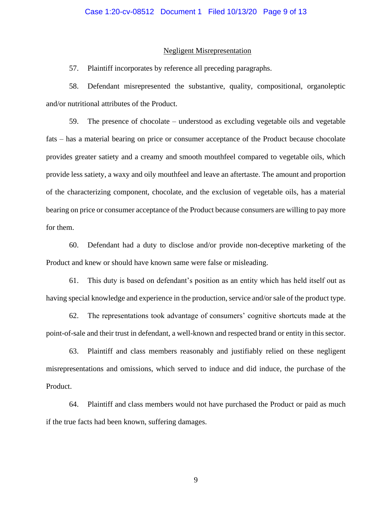#### Negligent Misrepresentation

57. Plaintiff incorporates by reference all preceding paragraphs.

58. Defendant misrepresented the substantive, quality, compositional, organoleptic and/or nutritional attributes of the Product.

59. The presence of chocolate – understood as excluding vegetable oils and vegetable fats – has a material bearing on price or consumer acceptance of the Product because chocolate provides greater satiety and a creamy and smooth mouthfeel compared to vegetable oils, which provide less satiety, a waxy and oily mouthfeel and leave an aftertaste. The amount and proportion of the characterizing component, chocolate, and the exclusion of vegetable oils, has a material bearing on price or consumer acceptance of the Product because consumers are willing to pay more for them.

60. Defendant had a duty to disclose and/or provide non-deceptive marketing of the Product and knew or should have known same were false or misleading.

61. This duty is based on defendant's position as an entity which has held itself out as having special knowledge and experience in the production, service and/or sale of the product type.

62. The representations took advantage of consumers' cognitive shortcuts made at the point-of-sale and their trust in defendant, a well-known and respected brand or entity in this sector.

63. Plaintiff and class members reasonably and justifiably relied on these negligent misrepresentations and omissions, which served to induce and did induce, the purchase of the Product.

64. Plaintiff and class members would not have purchased the Product or paid as much if the true facts had been known, suffering damages.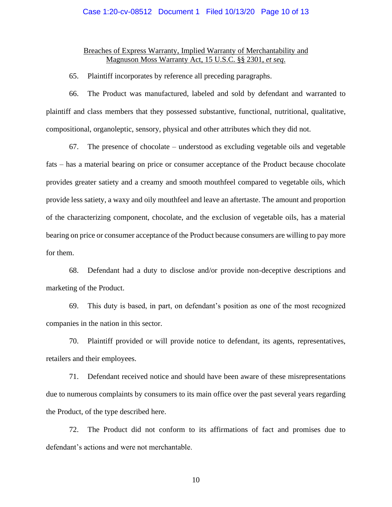## Case 1:20-cv-08512 Document 1 Filed 10/13/20 Page 10 of 13

## Breaches of Express Warranty, Implied Warranty of Merchantability and Magnuson Moss Warranty Act, 15 U.S.C. §§ 2301, *et seq*.

65. Plaintiff incorporates by reference all preceding paragraphs.

66. The Product was manufactured, labeled and sold by defendant and warranted to plaintiff and class members that they possessed substantive, functional, nutritional, qualitative, compositional, organoleptic, sensory, physical and other attributes which they did not.

67. The presence of chocolate – understood as excluding vegetable oils and vegetable fats – has a material bearing on price or consumer acceptance of the Product because chocolate provides greater satiety and a creamy and smooth mouthfeel compared to vegetable oils, which provide less satiety, a waxy and oily mouthfeel and leave an aftertaste. The amount and proportion of the characterizing component, chocolate, and the exclusion of vegetable oils, has a material bearing on price or consumer acceptance of the Product because consumers are willing to pay more for them.

68. Defendant had a duty to disclose and/or provide non-deceptive descriptions and marketing of the Product.

69. This duty is based, in part, on defendant's position as one of the most recognized companies in the nation in this sector.

70. Plaintiff provided or will provide notice to defendant, its agents, representatives, retailers and their employees.

71. Defendant received notice and should have been aware of these misrepresentations due to numerous complaints by consumers to its main office over the past several years regarding the Product, of the type described here.

72. The Product did not conform to its affirmations of fact and promises due to defendant's actions and were not merchantable.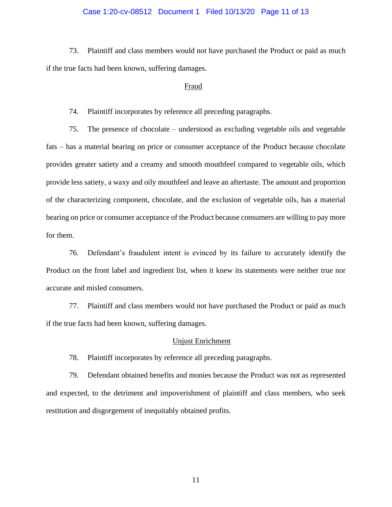## Case 1:20-cv-08512 Document 1 Filed 10/13/20 Page 11 of 13

73. Plaintiff and class members would not have purchased the Product or paid as much if the true facts had been known, suffering damages.

#### Fraud

74. Plaintiff incorporates by reference all preceding paragraphs.

75. The presence of chocolate – understood as excluding vegetable oils and vegetable fats – has a material bearing on price or consumer acceptance of the Product because chocolate provides greater satiety and a creamy and smooth mouthfeel compared to vegetable oils, which provide less satiety, a waxy and oily mouthfeel and leave an aftertaste. The amount and proportion of the characterizing component, chocolate, and the exclusion of vegetable oils, has a material bearing on price or consumer acceptance of the Product because consumers are willing to pay more for them.

76. Defendant's fraudulent intent is evinced by its failure to accurately identify the Product on the front label and ingredient list, when it knew its statements were neither true nor accurate and misled consumers.

77. Plaintiff and class members would not have purchased the Product or paid as much if the true facts had been known, suffering damages.

#### Unjust Enrichment

78. Plaintiff incorporates by reference all preceding paragraphs.

79. Defendant obtained benefits and monies because the Product was not as represented and expected, to the detriment and impoverishment of plaintiff and class members, who seek restitution and disgorgement of inequitably obtained profits.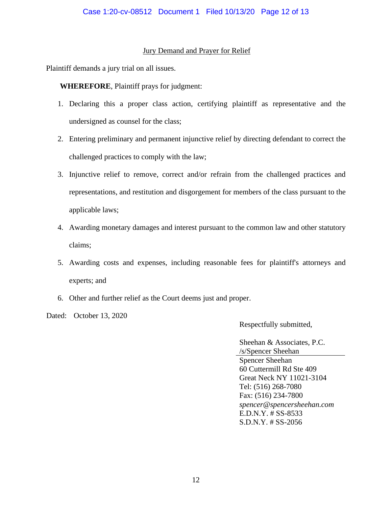## Jury Demand and Prayer for Relief

Plaintiff demands a jury trial on all issues.

**WHEREFORE**, Plaintiff prays for judgment:

- 1. Declaring this a proper class action, certifying plaintiff as representative and the undersigned as counsel for the class;
- 2. Entering preliminary and permanent injunctive relief by directing defendant to correct the challenged practices to comply with the law;
- 3. Injunctive relief to remove, correct and/or refrain from the challenged practices and representations, and restitution and disgorgement for members of the class pursuant to the applicable laws;
- 4. Awarding monetary damages and interest pursuant to the common law and other statutory claims;
- 5. Awarding costs and expenses, including reasonable fees for plaintiff's attorneys and experts; and
- 6. Other and further relief as the Court deems just and proper.

Dated: October 13, 2020

Respectfully submitted,

Sheehan & Associates, P.C. /s/Spencer Sheehan Spencer Sheehan 60 Cuttermill Rd Ste 409 Great Neck NY 11021-3104 Tel: (516) 268-7080 Fax: (516) 234-7800 *spencer@spencersheehan.com* E.D.N.Y. # SS-8533 S.D.N.Y. # SS-2056